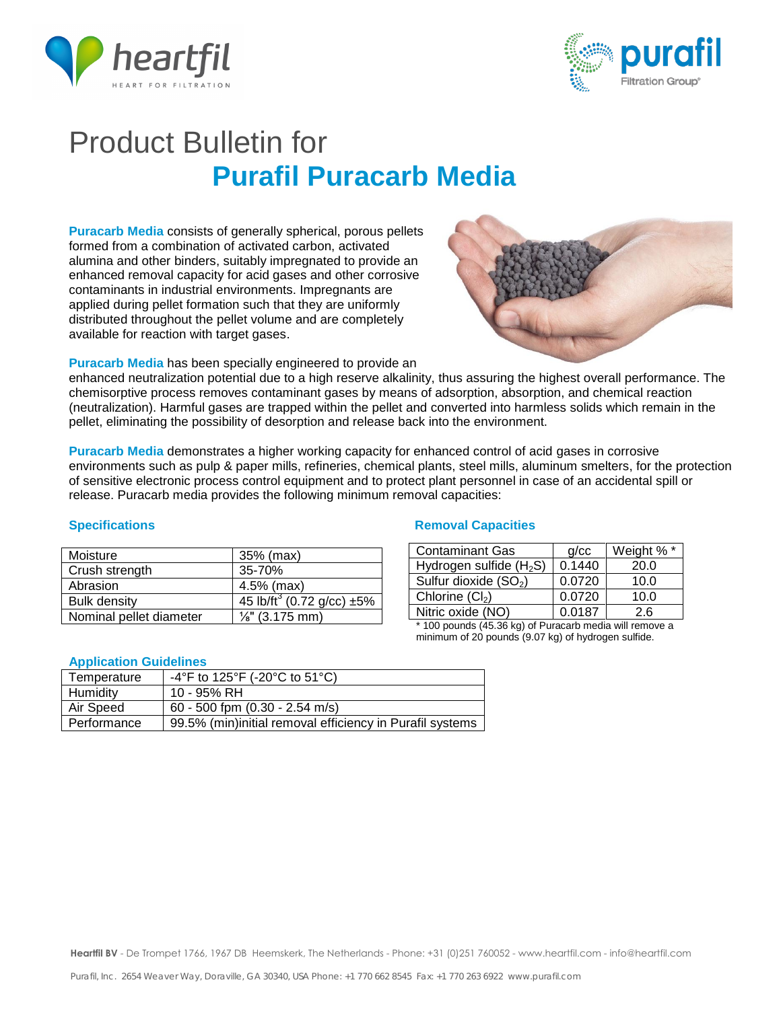



# Product Bulletin for **Purafil Puracarb Media**

**Puracarb Media** consists of generally spherical, porous pellets formed from a combination of activated carbon, activated alumina and other binders, suitably impregnated to provide an enhanced removal capacity for acid gases and other corrosive contaminants in industrial environments. Impregnants are applied during pellet formation such that they are uniformly distributed throughout the pellet volume and are completely available for reaction with target gases.



**Puracarb Media** has been specially engineered to provide an

enhanced neutralization potential due to a high reserve alkalinity, thus assuring the highest overall performance. The chemisorptive process removes contaminant gases by means of adsorption, absorption, and chemical reaction (neutralization). Harmful gases are trapped within the pellet and converted into harmless solids which remain in the pellet, eliminating the possibility of desorption and release back into the environment.

**Puracarb Media** demonstrates a higher working capacity for enhanced control of acid gases in corrosive environments such as pulp & paper mills, refineries, chemical plants, steel mills, aluminum smelters, for the protection of sensitive electronic process control equipment and to protect plant personnel in case of an accidental spill or release. Puracarb media provides the following minimum removal capacities:

| Moisture                | 35% (max)                                   |  |
|-------------------------|---------------------------------------------|--|
| Crush strength          | 35-70%                                      |  |
| Abrasion                | $4.5%$ (max)                                |  |
| <b>Bulk density</b>     | 45 lb/ft <sup>3</sup> (0.72 g/cc) $\pm 5\%$ |  |
| Nominal pellet diameter | $\frac{1}{8}$ " (3.175 mm)                  |  |

### **Application Guidelines**

| Temperature | -4°F to 125°F (-20°C to 51°C)                            |
|-------------|----------------------------------------------------------|
| Humidity    | 10 - 95% RH                                              |
| Air Speed   | 60 - 500 fpm (0.30 - 2.54 m/s)                           |
| Performance | 99.5% (min)initial removal efficiency in Purafil systems |

### **Specifications Capacities Access 1999 12:33 Removal Capacities**

| <b>Contaminant Gas</b>              | q/cc   | Weight % * |
|-------------------------------------|--------|------------|
| Hydrogen sulfide (H <sub>2</sub> S) | 0.1440 | 20.0       |
| Sulfur dioxide (SO <sub>2</sub> )   | 0.0720 | 10.0       |
| Chlorine $(Cl2)$                    | 0.0720 | 10.0       |
| Nitric oxide (NO)                   | 0.0187 | 26         |

\* 100 pounds (45.36 kg) of Puracarb media will remove a minimum of 20 pounds (9.07 kg) of hydrogen sulfide.